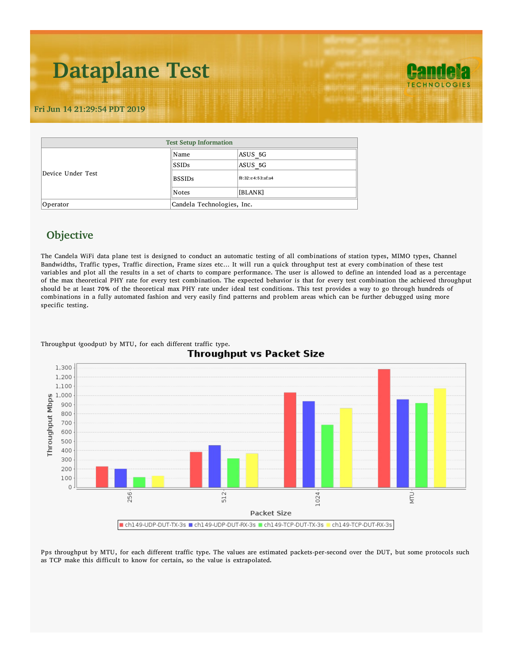## **Dataplane Test**

**TECHNOLOGIE!** 

## **Fri Jun 14 21:29:54 PDT 2019**

| <b>Test Setup Information</b> |                            |                   |  |  |  |  |  |
|-------------------------------|----------------------------|-------------------|--|--|--|--|--|
|                               | ∥Name                      | ASUS 5G           |  |  |  |  |  |
|                               | SSIDs                      | ASUS 5G           |  |  |  |  |  |
| Device Under Test             | <b>BSSIDs</b>              | f8:32:e4:53:af:a4 |  |  |  |  |  |
|                               | $\ $ Notes                 | [BLANK]           |  |  |  |  |  |
| Operator                      | Candela Technologies, Inc. |                   |  |  |  |  |  |

## **Objective**

The Candela WiFi data plane test is designed to conduct an automatic testing of all combinations of station types, MIMO types, Channel Bandwidths, Traffic types, Traffic direction, Frame sizes etc… It will run a quick throughput test at every combination of these test variables and plot all the results in a set of charts to compare performance. The user is allowed to define an intended load as a percentage of the max theoretical PHY rate for every test combination. The expected behavior is that for every test combination the achieved throughput should be at least 70% of the theoretical max PHY rate under ideal test conditions. This test provides a way to go through hundreds of combinations in a fully automated fashion and very easily find patterns and problem areas which can be further debugged using more specific testing.



Throughput (goodput) by MTU, for each different traffic type.

Pps throughput by MTU, for each different traffic type. The values are estimated packets-per-second over the DUT, but some protocols such as TCP make this difficult to know for certain, so the value is extrapolated.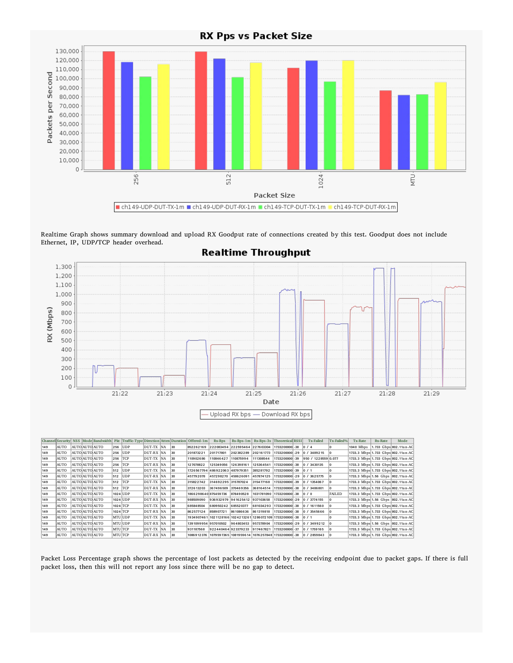

Realtime Graph shows summary download and upload RX Goodput rate of connections created by this test. Goodput does not include Ethernet, IP, UDP/TCP header overhead.



## **Realtime Throughput**

|     |      |  | ChannelSecurity NSS Mode Bandwidth | Pkt     |            |            |                 | Traffic-Type Direction Atten Duration Offered-1m | Rx-Bps              |                                                                           | Rx-Bps-1m   Rx-Bps-3s   Theoretical RSSI |                 | <b>Tx-Failed</b>         | <b>Tx-Failed%</b> | <b>Tx-Rate</b> | <b>Rx-Rate</b> | Mode                               |
|-----|------|--|------------------------------------|---------|------------|------------|-----------------|--------------------------------------------------|---------------------|---------------------------------------------------------------------------|------------------------------------------|-----------------|--------------------------|-------------------|----------------|----------------|------------------------------------|
| 149 | AUTO |  | <b>AUTO AUTO AUTO</b>              | 256     | <b>UDP</b> | DUT-TX NA  | $ 30\rangle$    | 852262169                                        |                     | 222083494 222595464 227603304                                             |                                          | 1733200000 - 38 | $\left 0\right/4\right.$ |                   | 1040 Mbps      |                | 1.733 Gbps 802.11an-AC             |
| 149 | AUTO |  | <b>AUTO AUTO AUTO</b>              | 256     | <b>UDP</b> | DUT-RX  NA | $ 30\rangle$    | 201873221                                        | 201717801           | 202382289                                                                 | 202161773                                | 1733200000 - 29 | 0 / 3489215              |                   |                |                | 1733.3 Mbps 1.733 Gbps 802.11an-AC |
| 149 | AUTO |  | AUTO AUTO AUTO                     | 256 TCP |            | DUT-TX NA  | $ 30\rangle$    | 110902686                                        | 110846427           | 110875994                                                                 | 111308544                                | 1733200000 - 39 | 950 / 1228559 0.077      |                   |                |                | 1733.3 Mbps 1.733 Gbps 802.11an-AC |
| 149 | AUTO |  | AUTO AUTO AUTO                     | 256 TCP |            | DUT-RX NA  | $ 30\rangle$    | 127078822                                        | 125349056           | 126398161                                                                 | 125364541                                | 1733200000 - 38 | 0 / 3430135              |                   |                |                | 1733.3 Mbps 1.733 Gbps 802.11an-AC |
| 149 | AUTO |  | AUTO AUTO AUTO                     |         | 512 UDP    | DUT-TX NA  | $ 30\rangle$    | 1726567794 486922063 487979351                   |                     |                                                                           | 385281792                                | 1733200000 - 39 | $\left 0\right /1$       |                   |                |                | 1733.3 Mbps 1.733 Gbps 802.11an-AC |
| 149 | AUTO |  | AUTO AUTO AUTO                     | 512     | UDP        | DUT-RX NA  | $ 30\rangle$    | 457792078                                        | 457298270 458626091 |                                                                           | 457874125                                | 1733200000 - 29 | 0 / 3625775              |                   |                |                | 1733.3 Mbps 1.56 Gbps 802.11an-AC  |
| 149 | AUTO |  | <b>AUTO AUTO AUTO</b>              | 512 TCP |            | DUT-TX NA  | $ 30\rangle$    | 315822742                                        | 314692295 315787024 |                                                                           | 315477168                                | 1733200000 - 39 | 0 / 1354067              |                   |                |                | 1733.3 Mbps 1.733 Gbps 802.11an-AC |
| 149 | AUTO |  | AUTO AUTO AUTO                     | 512 TCP |            | DUT-RX NA  | $ 30\rangle$    | 372613203                                        | 367496509 370469356 |                                                                           | 368164514                                | 1733200000 - 38 | 0/3486801                |                   |                |                | 1733.3 Mbps 1.733 Gbps 802.11an-AC |
| 149 | AUTO |  | <b>AUTO AUTO AUTO</b>              |         | 1024 UDP   | DUT-TX NA  | $ 30\rangle$    | 1866298640 875459736                             |                     | 878490528                                                                 | 1031781090                               | 1733200000 - 38 | 0/0                      | FAILED            |                |                | 1733.3 Mbps 1.733 Gbps 802.11an-AC |
| 149 | AUTO |  | <b>AUTO AUTO AUTO</b>              |         | 1024 UDP   | DUT-RX NA  | $ 30\rangle$    | 988509090                                        |                     | 936932979 941625412 937103658                                             |                                          | 1733200000 - 29 | 0 / 3774 155             |                   |                |                | 1733.3 Mbps 1.56 Gbps 802.11an-AC  |
| 149 | AUTO |  | AUTO AUTO AUTO                     |         | 1024 TCP   | DUT-TX NA  | 30 <sub>2</sub> | 685848504                                        | 680950242 685520377 |                                                                           | 681034293                                | 1733200000 - 38 | 0 / 1611560              |                   |                |                | 1733.3 Mbps 1.733 Gbps 802.11an-AC |
| 149 | AUTO |  | <b>AUTO AUTO AUTO</b>              |         | 1024 TCP   | DUT-RX NA  | $ 30\rangle$    | 862577124                                        | 858907721           | 861086636                                                                 | 861319818                                | 1733200000 - 38 | 0 / 3545666              |                   |                |                | 1733.3 Mbps 1.733 Gbps 802.11an-AC |
| 149 | AUTO |  | <b>AUTO AUTO AUTO</b>              |         | MTU UDP    | DUT-TX NA  | $ 30\rangle$    | 1934907461                                       |                     | 102 112 816 6 102 4 2 13 2 6 1 12 8 6 0 7 2 10 9 17 3 3 2 0 0 0 0 0 - 3 8 |                                          |                 | $\frac{10}{1}$           |                   |                |                | 1733.3 Mbps 1.733 Gbps 802.11an-AC |
| 149 | AUTO |  | AUTO AUTO AUTO                     |         | MTU UDP    | DUT-RX NA  | $ 30\rangle$    | 1391099954 957010502                             |                     | 964803453                                                                 | 957378904                                | 1733200000 - 29 | 0/3499212                |                   |                |                | 1733.3 Mbps 1.56 Gbps 802.11an-AC  |
| 149 | AUTO |  | AUTO AUTO AUTO                     | MTU TCP |            | DUT-TX NA  | $ 30\rangle$    | 931187568                                        |                     | 922440464923379233 917467821                                              |                                          | 1733200000 - 37 | 0 / 1759 165             |                   |                |                | 1733.3 Mbps 1.733 Gbps 802.11an-AC |
| 149 | AUTO |  | <b>AUTO AUTO AUTO</b>              | MTU TCP |            | DUT-RX  NA | $ 30\rangle$    |                                                  |                     | 1086912376 1079597365 1081959614 1076257848 1733200000 - 38               |                                          |                 | 0 / 2859843              |                   |                |                | 1733.3 Mbps 1.733 Gbps 802.11an-AC |

Packet Loss Percentage graph shows the percentage of lost packets as detected by the receiving endpoint due to packet gaps. If there is full packet loss, then this will not report any loss since there will be no gap to detect.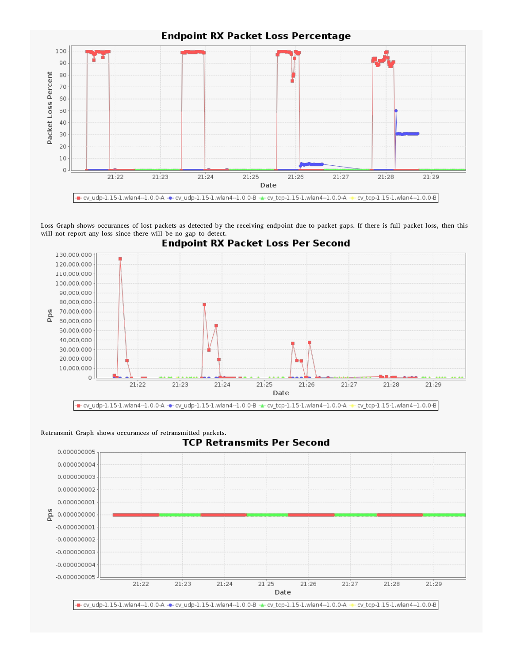

**Endpoint RX Packet Loss Percentage** 

Loss Graph shows occurances of lost packets as detected by the receiving endpoint due to packet gaps. If there is full packet loss, then this will not report any loss since there will be no gap to detect.